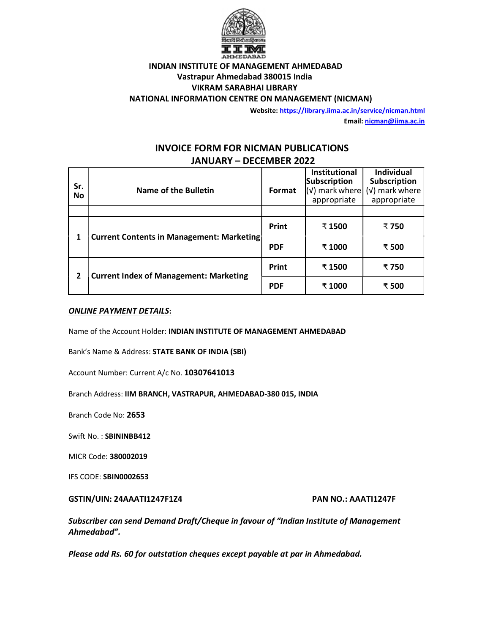

## INDIAN INSTITUTE OF MANAGEMENT AHMEDABAD Vastrapur Ahmedabad 380015 India VIKRAM SARABHAI LIBRARY NATIONAL INFORMATION CENTRE ON MANAGEMENT (NICMAN)

Website: https://library.iima.ac.in/service/nicman.html

Email: nicman@iima.ac.in

# INVOICE FORM FOR NICMAN PUBLICATIONS JANUARY – DECEMBER 2022

| Sr.<br>No | <b>Name of the Bulletin</b>                        | Format     | <b>Institutional</b><br>Subscription<br>$\sqrt{(v)}$ mark where<br>appropriate | <b>Individual</b><br>Subscription<br>(v) mark where<br>appropriate |
|-----------|----------------------------------------------------|------------|--------------------------------------------------------------------------------|--------------------------------------------------------------------|
|           | <b>Current Contents in Management: Marketinght</b> | Print      | ₹ 1500                                                                         | ₹ 750                                                              |
|           |                                                    | <b>PDF</b> | ₹ 1000                                                                         | ₹500                                                               |
|           | <b>Current Index of Management: Marketing</b>      | Print      | ₹ 1500                                                                         | ₹ 750                                                              |
|           |                                                    | <b>PDF</b> | ₹ 1000                                                                         | ₹500                                                               |

### ONLINE PAYMENT DETAILS:

Name of the Account Holder: INDIAN INSTITUTE OF MANAGEMENT AHMEDABAD

Bank's Name & Address: STATE BANK OF INDIA (SBI)

Account Number: Current A/c No. 10307641013

Branch Address: IIM BRANCH, VASTRAPUR, AHMEDABAD-380 015, INDIA

Branch Code No: 2653

Swift No. : SBININBB412

MICR Code: 380002019

IFS CODE: SBIN0002653

### GSTIN/UIN: 24AAATI1247F1Z4 PAN NO.: AAATI1247F

Subscriber can send Demand Draft/Cheque in favour of "Indian Institute of Management Ahmedabad".

Please add Rs. 60 for outstation cheques except payable at par in Ahmedabad.